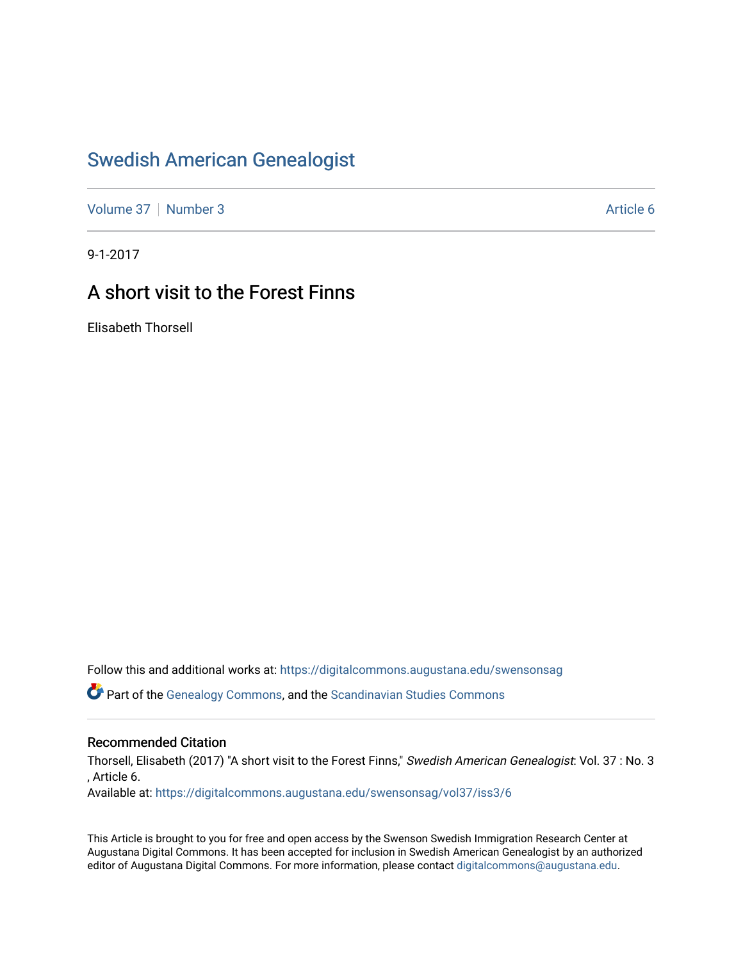## [Swedish American Genealogist](https://digitalcommons.augustana.edu/swensonsag)

[Volume 37](https://digitalcommons.augustana.edu/swensonsag/vol37) | [Number 3](https://digitalcommons.augustana.edu/swensonsag/vol37/iss3) Article 6

9-1-2017

## A short visit to the Forest Finns

Elisabeth Thorsell

Follow this and additional works at: [https://digitalcommons.augustana.edu/swensonsag](https://digitalcommons.augustana.edu/swensonsag?utm_source=digitalcommons.augustana.edu%2Fswensonsag%2Fvol37%2Fiss3%2F6&utm_medium=PDF&utm_campaign=PDFCoverPages) 

Part of the [Genealogy Commons,](http://network.bepress.com/hgg/discipline/1342?utm_source=digitalcommons.augustana.edu%2Fswensonsag%2Fvol37%2Fiss3%2F6&utm_medium=PDF&utm_campaign=PDFCoverPages) and the [Scandinavian Studies Commons](http://network.bepress.com/hgg/discipline/485?utm_source=digitalcommons.augustana.edu%2Fswensonsag%2Fvol37%2Fiss3%2F6&utm_medium=PDF&utm_campaign=PDFCoverPages)

#### Recommended Citation

Thorsell, Elisabeth (2017) "A short visit to the Forest Finns," Swedish American Genealogist: Vol. 37 : No. 3 , Article 6.

Available at: [https://digitalcommons.augustana.edu/swensonsag/vol37/iss3/6](https://digitalcommons.augustana.edu/swensonsag/vol37/iss3/6?utm_source=digitalcommons.augustana.edu%2Fswensonsag%2Fvol37%2Fiss3%2F6&utm_medium=PDF&utm_campaign=PDFCoverPages) 

This Article is brought to you for free and open access by the Swenson Swedish Immigration Research Center at Augustana Digital Commons. It has been accepted for inclusion in Swedish American Genealogist by an authorized editor of Augustana Digital Commons. For more information, please contact [digitalcommons@augustana.edu.](mailto:digitalcommons@augustana.edu)